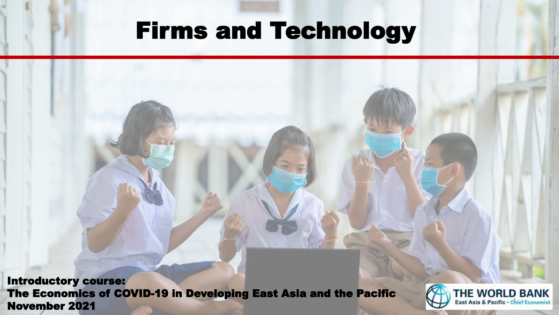## Firms and Technology

Introductory course: The Economics of COVID-19 in Developing East Asia and the Pacific The Economics of COVID-19 in Developing East Asia and the Pacific **Carl THE WORLD BANK**<br>November 2021

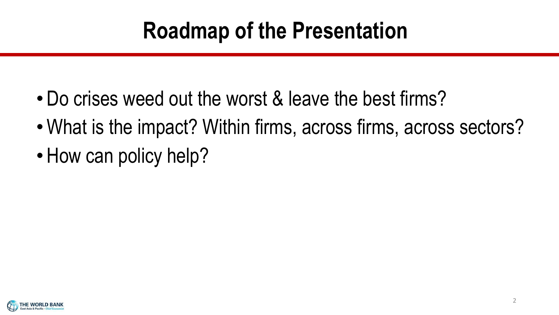# **Roadmap of the Presentation**

- Do crises weed out the worst & leave the best firms?
- •What is the impact? Within firms, across firms, across sectors?
- How can policy help?

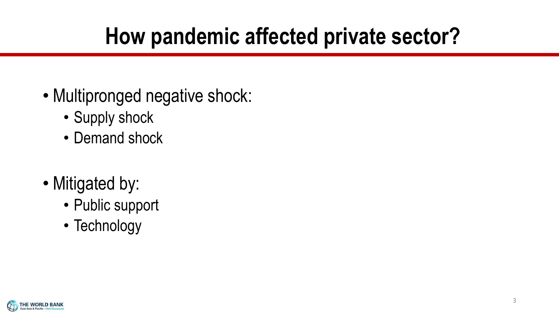# **How pandemic affected private sector?**

- Multipronged negative shock:
	- Supply shock
	- Demand shock
- Mitigated by:
	- Public support
	- Technology

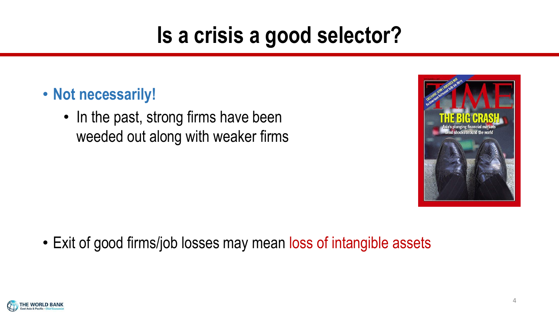# **Is a crisis a good selector?**

- **Not necessarily!**
	- In the past, strong firms have been weeded out along with weaker firms



• Exit of good firms/job losses may mean loss of intangible assets

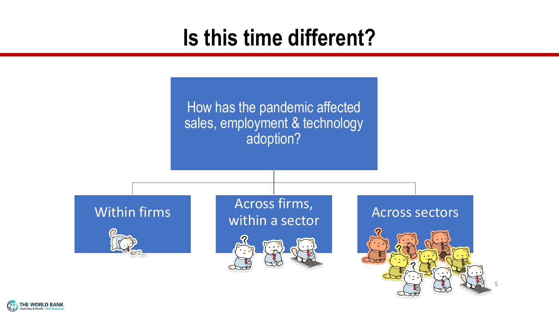# **Is this time different?**

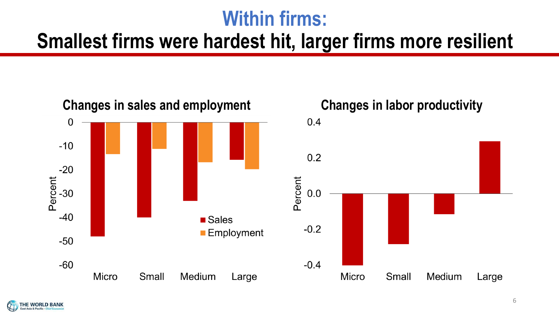### **Within firms:**

### **Smallest firms were hardest hit, larger firms more resilient**



 $0.4$ 



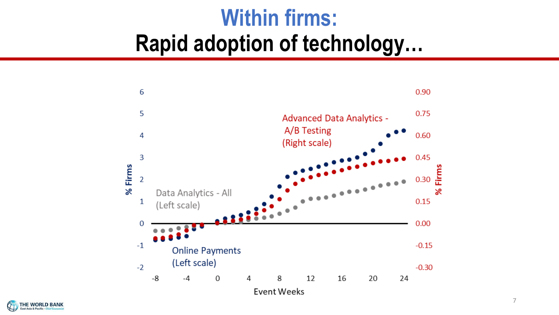# **Within firms: Rapid adoption of technology…**



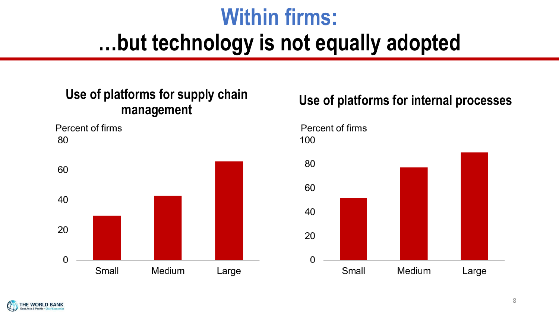# **Within firms: …but technology is not equally adopted**

# **Use of platforms for supply chain**

Percent of firms 80



## **management Use of platforms for internal processes**

### Percent of firms 100



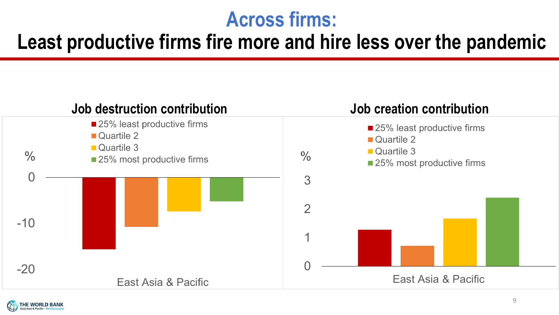### **Across firms:**

### **Least productive firms fire more and hire less over the pandemic**



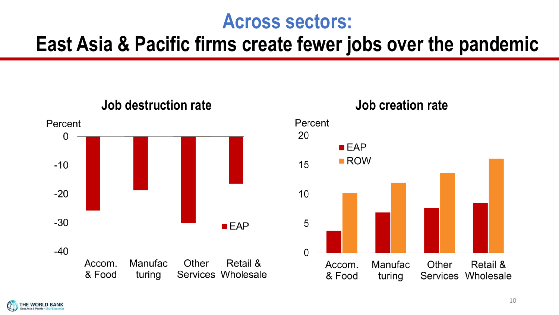### **Across sectors:**

### **East Asia & Pacific firms create fewer jobs over the pandemic**



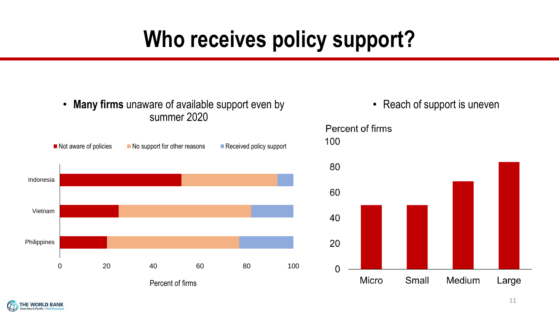# **Who receives policy support?**



**HE WORLD BANK** st Asia & Pacific . Chief E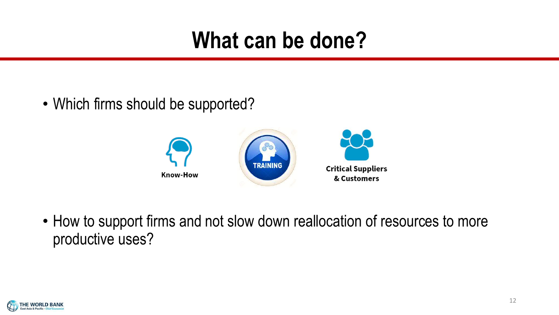# **What can be done?**

• Which firms should be supported?



• How to support firms and not slow down reallocation of resources to more productive uses?

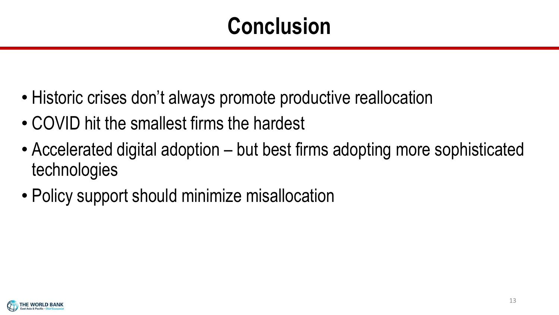# **Conclusion**

- Historic crises don't always promote productive reallocation
- COVID hit the smallest firms the hardest
- Accelerated digital adoption but best firms adopting more sophisticated technologies
- Policy support should minimize misallocation

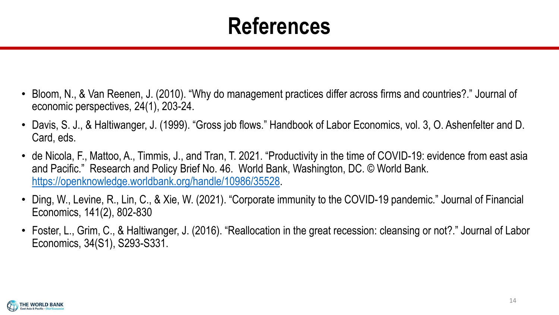# **References**

- Bloom, N., & Van Reenen, J. (2010). "Why do management practices differ across firms and countries?." Journal of economic perspectives, 24(1), 203-24.
- Davis, S. J., & Haltiwanger, J. (1999). "Gross job flows." Handbook of Labor Economics, vol. 3, O. Ashenfelter and D. Card, eds.
- de Nicola, F., Mattoo, A., Timmis, J., and Tran, T. 2021. "Productivity in the time of COVID-19: evidence from east asia and Pacific." Research and Policy Brief No. 46. World Bank, Washington, DC. © World Bank. [https://openknowledge.worldbank.org/handle/10986/35528.](https://openknowledge.worldbank.org/handle/10986/35528)
- Ding, W., Levine, R., Lin, C., & Xie, W. (2021). "Corporate immunity to the COVID-19 pandemic." Journal of Financial Economics, 141(2), 802-830
- Foster, L., Grim, C., & Haltiwanger, J. (2016). "Reallocation in the great recession: cleansing or not?." Journal of Labor Economics, 34(S1), S293-S331.